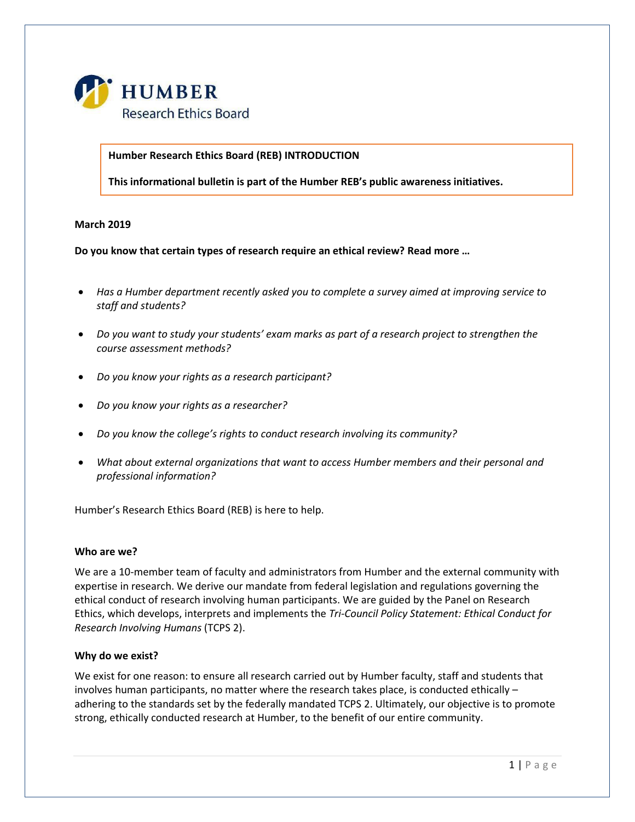

**Humber Research Ethics Board (REB) INTRODUCTION**

**This informational bulletin is part of the Humber REB's public awareness initiatives.**

# **March 2019**

**Do you know that certain types of research require an ethical review? Read more …**

- *Has a Humber department recently asked you to complete a survey aimed at improving service to staff and students?*
- *Do you want to study your students' exam marks as part of a research project to strengthen the course assessment methods?*
- *Do you know your rights as a research participant?*
- *Do you know your rights as a researcher?*
- *Do you know the college's rights to conduct research involving its community?*
- *What about external organizations that want to access Humber members and their personal and professional information?*

Humber's Research Ethics Board (REB) is here to help.

#### **Who are we?**

We are a 10-member team of faculty and administrators from Humber and the external community with expertise in research. We derive our mandate from federal legislation and regulations governing the ethical conduct of research involving human participants. We are guided by the Panel on Research Ethics, which develops, interprets and implements the *Tri-Council Policy Statement: Ethical Conduct for Research Involving Humans* (TCPS 2).

# **Why do we exist?**

We exist for one reason: to ensure all research carried out by Humber faculty, staff and students that involves human participants, no matter where the research takes place, is conducted ethically – adhering to the standards set by the federally mandated TCPS 2. Ultimately, our objective is to promote strong, ethically conducted research at Humber, to the benefit of our entire community.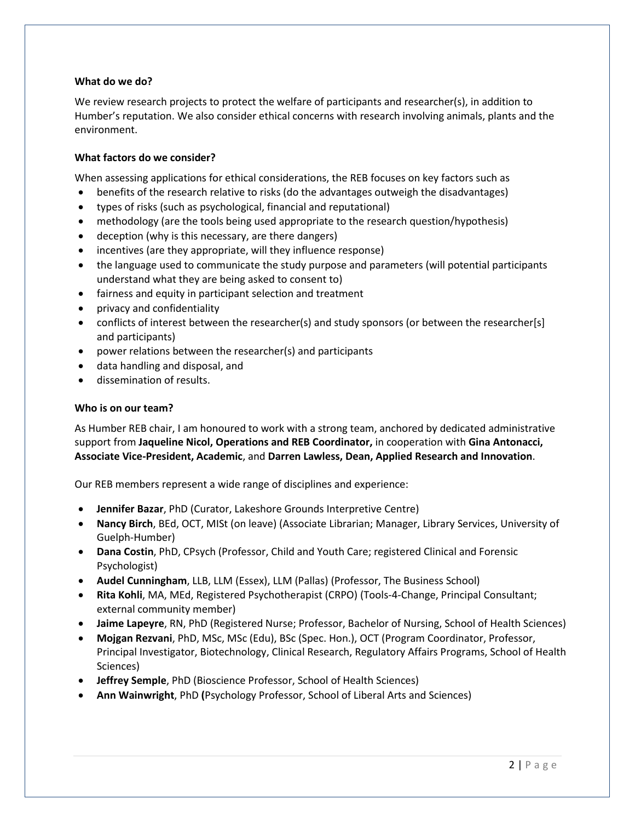### **What do we do?**

We review research projects to protect the welfare of participants and researcher(s), in addition to Humber's reputation. We also consider ethical concerns with research involving animals, plants and the environment.

# **What factors do we consider?**

When assessing applications for ethical considerations, the REB focuses on key factors such as

- benefits of the research relative to risks (do the advantages outweigh the disadvantages)
- types of risks (such as psychological, financial and reputational)
- methodology (are the tools being used appropriate to the research question/hypothesis)
- deception (why is this necessary, are there dangers)
- incentives (are they appropriate, will they influence response)
- the language used to communicate the study purpose and parameters (will potential participants understand what they are being asked to consent to)
- fairness and equity in participant selection and treatment
- privacy and confidentiality
- conflicts of interest between the researcher(s) and study sponsors (or between the researcher[s] and participants)
- power relations between the researcher(s) and participants
- data handling and disposal, and
- dissemination of results.

### **Who is on our team?**

As Humber REB chair, I am honoured to work with a strong team, anchored by dedicated administrative support from **Jaqueline Nicol, Operations and REB Coordinator,** in cooperation with **Gina Antonacci, Associate Vice-President, Academic**, and **Darren Lawless, Dean, Applied Research and Innovation**.

Our REB members represent a wide range of disciplines and experience:

- **Jennifer Bazar**, PhD (Curator, Lakeshore Grounds Interpretive Centre)
- **Nancy Birch**, BEd, OCT, MISt (on leave) (Associate Librarian; Manager, Library Services, University of Guelph-Humber)
- **Dana Costin**, PhD, CPsych (Professor, Child and Youth Care; registered Clinical and Forensic Psychologist)
- **Audel Cunningham**, LLB, LLM (Essex), LLM (Pallas) (Professor, The Business School)
- **Rita Kohli**, MA, MEd, Registered Psychotherapist (CRPO) (Tools-4-Change, Principal Consultant; external community member)
- **Jaime Lapeyre**, RN, PhD (Registered Nurse; Professor, Bachelor of Nursing, School of Health Sciences)
- **Mojgan Rezvani**, PhD, MSc, MSc (Edu), BSc (Spec. Hon.), OCT (Program Coordinator, Professor, Principal Investigator, Biotechnology, Clinical Research, Regulatory Affairs Programs, School of Health Sciences)
- **Jeffrey Semple**, PhD (Bioscience Professor, School of Health Sciences)
- **Ann Wainwright**, PhD **(**Psychology Professor, School of Liberal Arts and Sciences)